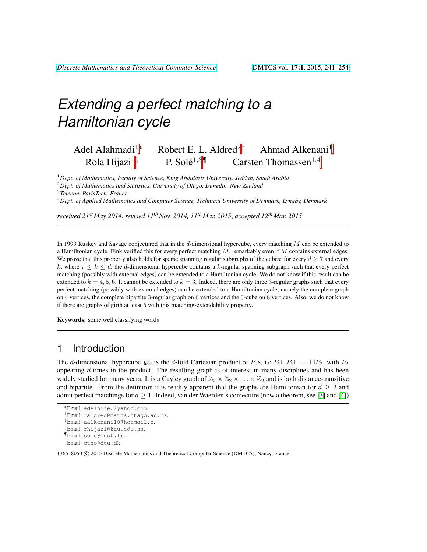# *Extending a perfect matching to a Hamiltonian cycle*

### Adel Alahmadi<sup>1∗</sup> Robert E. L. Aldred<sup>2†</sup> Ahmad Alkenani<sup>1‡</sup> Rola Hijazi<sup>1§</sup> P. Solé<sup>1,3¶</sup> Carsten Thomassen<sup>1,4||</sup>

<sup>1</sup>*Dept. of Mathematics, Faculty of Science, King Abdulaziz University, Jeddah, Saudi Arabia*

<sup>2</sup>*Dept. of Mathematics and Statistics, University of Otago, Dunedin, New Zealand*

3 *Telecom ParisTech, France*

<sup>4</sup>*Dept. of Applied Mathematics and Computer Science, Technical University of Denmark, Lyngby, Denmark*

*received 21st May 2014*, *revised 11thNov. 2014, 11th Mar. 2015*, *accepted 12th Mar. 2015*.

In 1993 Ruskey and Savage conjectured that in the d-dimensional hypercube, every matching M can be extended to a Hamiltonian cycle. Fink verified this for every perfect matching  $M$ , remarkably even if  $M$  contains external edges. We prove that this property also holds for sparse spanning regular subgraphs of the cubes: for every  $d \geq 7$  and every k, where  $7 \le k \le d$ , the d-dimensional hypercube contains a k-regular spanning subgraph such that every perfect matching (possibly with external edges) can be extended to a Hamiltonian cycle. We do not know if this result can be extended to  $k = 4, 5, 6$ . It cannot be extended to  $k = 3$ . Indeed, there are only three 3-regular graphs such that every perfect matching (possibly with external edges) can be extended to a Hamiltonian cycle, namely the complete graph on 4 vertices, the complete bipartite 3-regular graph on 6 vertices and the 3-cube on 8 vertices. Also, we do not know if there are graphs of girth at least 5 with this matching-extendability property.

Keywords: some well classifying words

### 1 Introduction

The d-dimensional hypercube  $\mathcal{Q}_d$  is the d-fold Cartesian product of  $P_2$ s, i.e  $P_2 \Box P_2 \Box \dots \Box P_2$ , with  $P_2$ appearing  $d$  times in the product. The resulting graph is of interest in many disciplines and has been widely studied for many years. It is a Cayley graph of  $\mathbb{Z}_2 \times \mathbb{Z}_2 \times \ldots \times \mathbb{Z}_2$  and is both distance-transitive and bipartite. From the definition it is readily apparent that the graphs are Hamiltonian for  $d \geq 2$  and admit perfect matchings for  $d > 1$ . Indeed, van der Waerden's conjecture (now a theorem, see [\[3\]](#page-12-0) and [\[4\]](#page-12-1))

<sup>∗</sup>Email: adelnife2@yahoo.com.

<sup>†</sup>Email: raldred@maths.otago.ac.nz.

<sup>‡</sup>Email: aalkenani10@hotmail.c.

<sup>§</sup>Email: rhijazi@kau.edu.sa. ¶Email: sole@enst.fr.

<sup>k</sup>Email: ctho@dtu.dk.

<sup>1365–8050</sup> C 2015 Discrete Mathematics and Theoretical Computer Science (DMTCS), Nancy, France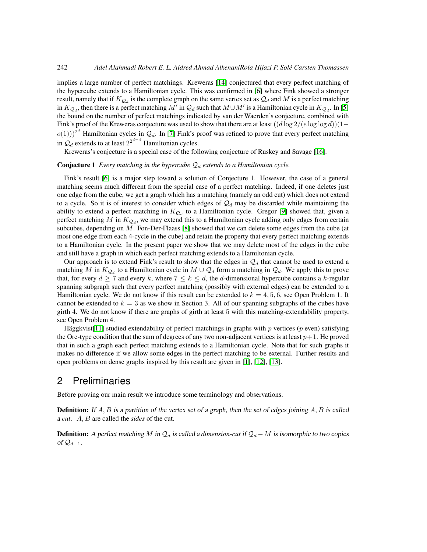implies a large number of perfect matchings. Kreweras [\[14\]](#page-13-0) conjectured that every perfect matching of the hypercube extends to a Hamiltonian cycle. This was confirmed in [\[6\]](#page-12-2) where Fink showed a stronger result, namely that if  $K_{Q_d}$  is the complete graph on the same vertex set as  $Q_d$  and  $M$  is a perfect matching in  $K_{Q_d}$ , then there is a perfect matching  $M'$  in  $Q_d$  such that  $M \cup M'$  is a Hamiltonian cycle in  $K_{Q_d}$ . In [\[5\]](#page-12-3) the bound on the number of perfect matchings indicated by van der Waerden's conjecture, combined with Fink's proof of the Kreweras conjecture was used to show that there are at least  $((d \log 2/(e \log \log d))(1$  $o(1))$ )<sup>2d</sup> Hamiltonian cycles in  $\mathcal{Q}_d$ . In [\[7\]](#page-12-4) Fink's proof was refined to prove that every perfect matching in  $\mathcal{Q}_d$  extends to at least  $2^{2^{d-4}}$  Hamiltonian cycles.

Kreweras's conjecture is a special case of the following conjecture of Ruskey and Savage [\[16\]](#page-13-1).

### **Conjecture 1** *Every matching in the hypercube*  $\mathcal{Q}_d$  *extends to a Hamiltonian cycle.*

Fink's result [\[6\]](#page-12-2) is a major step toward a solution of Conjecture 1. However, the case of a general matching seems much different from the special case of a perfect matching. Indeed, if one deletes just one edge from the cube, we get a graph which has a matching (namely an odd cut) which does not extend to a cycle. So it is of interest to consider which edges of  $\mathcal{Q}_d$  may be discarded while maintaining the ability to extend a perfect matching in  $K_{Q_d}$  to a Hamiltonian cycle. Gregor [\[9\]](#page-13-2) showed that, given a perfect matching M in  $K_{Q_d}$ , we may extend this to a Hamiltonian cycle adding only edges from certain subcubes, depending on M. Fon-Der-Flaass [\[8\]](#page-13-3) showed that we can delete some edges from the cube (at most one edge from each 4-cycle in the cube) and retain the property that every perfect matching extends to a Hamiltonian cycle. In the present paper we show that we may delete most of the edges in the cube and still have a graph in which each perfect matching extends to a Hamiltonian cycle.

Our approach is to extend Fink's result to show that the edges in  $\mathcal{Q}_d$  that cannot be used to extend a matching M in  $K_{Q_d}$  to a Hamiltonian cycle in  $M \cup Q_d$  form a matching in  $Q_d$ . We apply this to prove that, for every  $d \geq 7$  and every k, where  $7 \leq k \leq d$ , the d-dimensional hypercube contains a k-regular spanning subgraph such that every perfect matching (possibly with external edges) can be extended to a Hamiltonian cycle. We do not know if this result can be extended to  $k = 4, 5, 6$ , see Open Problem 1. It cannot be extended to  $k = 3$  as we show in Section 3. All of our spanning subgraphs of the cubes have girth 4. We do not know if there are graphs of girth at least 5 with this matching-extendability property, see Open Problem 4.

Häggkvist[\[11\]](#page-13-4) studied extendability of perfect matchings in graphs with  $p$  vertices ( $p$  even) satisfying the Ore-type condition that the sum of degrees of any two non-adjacent vertices is at least  $p+1$ . He proved that in such a graph each perfect matching extends to a Hamiltonian cycle. Note that for such graphs it makes no difference if we allow some edges in the perfect matching to be external. Further results and open problems on dense graphs inspired by this result are given in [\[1\]](#page-12-5), [\[12\]](#page-13-5), [\[13\]](#page-13-6).

## 2 Preliminaries

Before proving our main result we introduce some terminology and observations.

**Definition:** If  $A, B$  is a partition of the vertex set of a graph, then the set of edges joining  $A, B$  is called a *cut*. A, B are called the *sides* of the cut.

**Definition:** A perfect matching M in  $\mathcal{Q}_d$  is called a dimension-cut if  $\mathcal{Q}_d - M$  is isomorphic to two copies of  $\mathcal{Q}_{d-1}$ .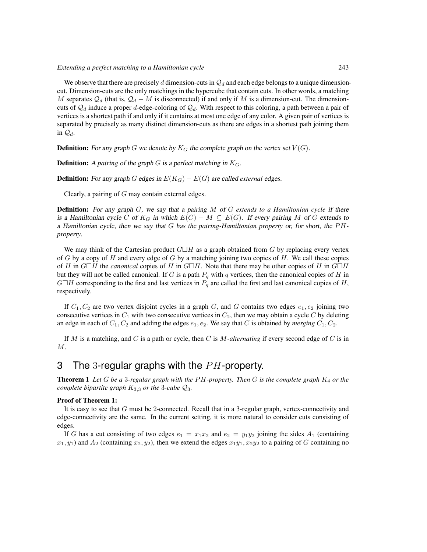### *Extending a perfect matching to a Hamiltonian cycle* 243

We observe that there are precisely d dimension-cuts in  $\mathcal{Q}_d$  and each edge belongs to a unique dimensioncut. Dimension-cuts are the only matchings in the hypercube that contain cuts. In other words, a matching M separates  $\mathcal{Q}_d$  (that is,  $\mathcal{Q}_d - M$  is disconnected) if and only if M is a dimension-cut. The dimensioncuts of  $\mathcal{Q}_d$  induce a proper d-edge-coloring of  $\mathcal{Q}_d$ . With respect to this coloring, a path between a pair of vertices is a shortest path if and only if it contains at most one edge of any color. A given pair of vertices is separated by precisely as many distinct dimension-cuts as there are edges in a shortest path joining them in  $\mathcal{Q}_d$ .

**Definition:** For any graph G we denote by  $K_G$  the complete graph on the vertex set  $V(G)$ .

**Definition:** A *pairing* of the graph  $G$  is a perfect matching in  $K_G$ .

**Definition:** For any graph G edges in  $E(K_G) - E(G)$  are called *external* edges.

Clearly, a pairing of G may contain external edges.

Definition: For any graph G, we say that a pairing M of G *extends to a Hamiltonian cycle* if there is a Hamiltonian cycle C of  $K_G$  in which  $E(C) - M \subseteq E(G)$ . If every pairing M of G extends to a Hamiltonian cycle, then we say that G has the *pairing-Hamiltonian property* or, for short, the PH*property*.

We may think of the Cartesian product  $G \Box H$  as a graph obtained from G by replacing every vertex of G by a copy of H and every edge of G by a matching joining two copies of H. We call these copies of H in  $G \square H$  the *canonical* copies of H in  $G \square H$ . Note that there may be other copies of H in  $G \square H$ but they will not be called canonical. If G is a path  $P<sub>q</sub>$  with q vertices, then the canonical copies of H in  $G \Box H$  corresponding to the first and last vertices in  $P_q$  are called the first and last canonical copies of H, respectively.

If  $C_1, C_2$  are two vertex disjoint cycles in a graph G, and G contains two edges  $e_1, e_2$  joining two consecutive vertices in  $C_1$  with two consecutive vertices in  $C_2$ , then we may obtain a cycle C by deleting an edge in each of  $C_1$ ,  $C_2$  and adding the edges  $e_1$ ,  $e_2$ . We say that C is obtained by *merging*  $C_1$ ,  $C_2$ .

If M is a matching, and C is a path or cycle, then C is M*-alternating* if every second edge of C is in  $M$ .

## 3 The 3-regular graphs with the  $PH$ -property.

Theorem 1 *Let* G *be a* 3-regular graph with the PH-property. Then G is the complete graph  $K_4$  *or the complete bipartite graph*  $K_{3,3}$  *or the* 3*-cube*  $\mathcal{Q}_3$ *.* 

#### Proof of Theorem 1:

It is easy to see that G must be 2-connected. Recall that in a 3-regular graph, vertex-connectivity and edge-connectivity are the same. In the current setting, it is more natural to consider cuts consisting of edges.

If G has a cut consisting of two edges  $e_1 = x_1x_2$  and  $e_2 = y_1y_2$  joining the sides  $A_1$  (containing  $x_1, y_1$ ) and  $A_2$  (containing  $x_2, y_2$ ), then we extend the edges  $x_1y_1, x_2y_2$  to a pairing of G containing no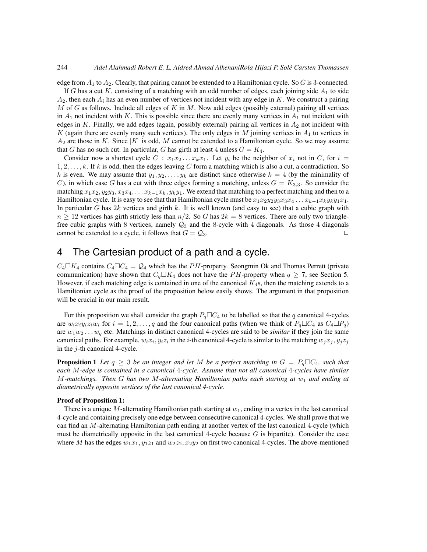edge from  $A_1$  to  $A_2$ . Clearly, that pairing cannot be extended to a Hamiltonian cycle. So G is 3-connected.

If G has a cut K, consisting of a matching with an odd number of edges, each joining side  $A_1$  to side  $A_2$ , then each  $A_i$  has an even number of vertices not incident with any edge in K. We construct a pairing M of G as follows. Include all edges of K in M. Now add edges (possibly external) pairing all vertices in  $A_1$  not incident with K. This is possible since there are evenly many vertices in  $A_1$  not incident with edges in K. Finally, we add edges (again, possibly external) pairing all vertices in  $A_2$  not incident with K (again there are evenly many such vertices). The only edges in M joining vertices in  $A_1$  to vertices in  $A_2$  are those in K. Since |K| is odd, M cannot be extended to a Hamiltonian cycle. So we may assume that G has no such cut. In particular, G has girth at least 4 unless  $G = K_4$ .

Consider now a shortest cycle  $C : x_1x_2...x_kx_1$ . Let  $y_i$  be the neighbor of  $x_i$  not in C, for  $i =$  $1, 2, \ldots, k$ . If k is odd, then the edges leaving C form a matching which is also a cut, a contradiction. So k is even. We may assume that  $y_1, y_2, \ldots, y_k$  are distinct since otherwise  $k = 4$  (by the minimality of C), in which case G has a cut with three edges forming a matching, unless  $G = K_{3,3}$ . So consider the matching  $x_1x_2, y_2y_3, x_3x_4, \ldots x_{k-1}x_k, y_ky_1$ . We extend that matching to a perfect matching and then to a Hamiltonian cycle. It is easy to see that that Hamiltonian cycle must be  $x_1x_2y_2y_3x_3x_4\dots x_{k-1}x_ky_ky_1x_1$ . In particular G has  $2k$  vertices and girth k. It is well known (and easy to see) that a cubic graph with  $n \geq 12$  vertices has girth strictly less than  $n/2$ . So G has  $2k = 8$  vertices. There are only two trianglefree cubic graphs with 8 vertices, namely  $\mathcal{Q}_3$  and the 8-cycle with 4 diagonals. As those 4 diagonals cannot be extended to a cycle, it follows that  $G = \mathcal{Q}_3$ .

### 4 The Cartesian product of a path and a cycle.

 $C_4 \Box K_4$  contains  $C_4 \Box C_4 = \mathcal{Q}_4$  which has the PH-property. Seongmin Ok and Thomas Perrett (private communication) have shown that  $C_q \Box K_4$  does not have the PH-property when  $q \ge 7$ , see Section 5. However, if each matching edge is contained in one of the canonical  $K_4$ s, then the matching extends to a Hamiltonian cycle as the proof of the proposition below easily shows. The argument in that proposition will be crucial in our main result.

For this proposition we shall consider the graph  $P_q \square C_4$  to be labelled so that the q canonical 4-cycles are  $w_i x_i y_i z_i w_i$  for  $i = 1, 2, \ldots, q$  and the four canonical paths (when we think of  $P_q \Box C_4$  as  $C_4 \Box P_q$ ) are  $w_1w_2 \ldots w_q$  etc. Matchings in distinct canonical 4-cycles are said to be *similar* if they join the same canonical paths. For example,  $w_i x_i, y_i z_i$  in the *i*-th canonical 4-cycle is similar to the matching  $w_j x_j, y_j z_j$ in the  $j$ -th canonical 4-cycle.

**Proposition 1** Let  $q \geq 3$  be an integer and let M be a perfect matching in  $G = P_q \Box C_4$ , such that *each* M*-edge is contained in a canonical* 4*-cycle. Assume that not all canonical* 4*-cycles have similar* M*-matchings. Then* G *has two* M*-alternating Hamiltonian paths each starting at* w<sup>1</sup> *and ending at diametrically opposite vertices of the last canonical 4-cycle.*

#### Proof of Proposition 1:

There is a unique M-alternating Hamiltonian path starting at  $w_1$ , ending in a vertex in the last canonical 4-cycle and containing precisely one edge between consecutive canonical 4-cycles. We shall prove that we can find an M-alternating Hamiltonian path ending at another vertex of the last canonical 4-cycle (which must be diametrically opposite in the last canonical 4-cycle because  $G$  is bipartite). Consider the case where M has the edges  $w_1x_1, y_1z_1$  and  $w_2z_2, x_2y_2$  on first two canonical 4-cycles. The above-mentioned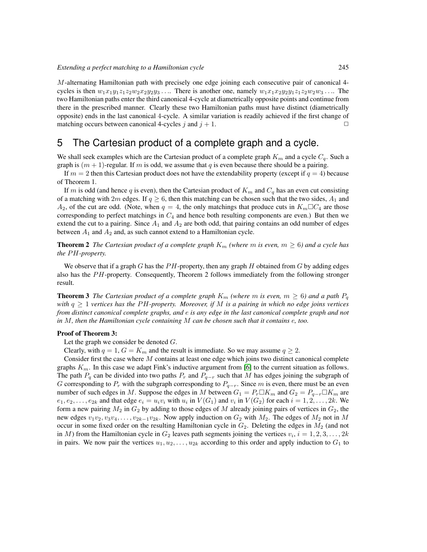M-alternating Hamiltonian path with precisely one edge joining each consecutive pair of canonical 4 cycles is then  $w_1x_1y_1z_1z_2w_2x_2y_2y_3...$  There is another one, namely  $w_1x_1x_2y_2y_1z_1z_2w_2w_3...$  The two Hamiltonian paths enter the third canonical 4-cycle at diametrically opposite points and continue from there in the prescribed manner. Clearly these two Hamiltonian paths must have distinct (diametrically opposite) ends in the last canonical 4-cycle. A similar variation is readily achieved if the first change of matching occurs between canonical 4-cycles j and  $j + 1$ .

# 5 The Cartesian product of a complete graph and a cycle.

We shall seek examples which are the Cartesian product of a complete graph  $K_m$  and a cycle  $C_q$ . Such a graph is  $(m + 1)$ -regular. If m is odd, we assume that q is even because there should be a pairing.

If  $m = 2$  then this Cartesian product does not have the extendability property (except if  $q = 4$ ) because of Theorem 1.

If m is odd (and hence q is even), then the Cartesian product of  $K_m$  and  $C_q$  has an even cut consisting of a matching with 2m edges. If  $q \ge 6$ , then this matching can be chosen such that the two sides,  $A_1$  and  $A_2$ , of the cut are odd. (Note, when  $q = 4$ , the only matchings that produce cuts in  $K_m \Box C_4$  are those corresponding to perfect matchings in  $C_4$  and hence both resulting components are even.) But then we extend the cut to a pairing. Since  $A_1$  and  $A_2$  are both odd, that pairing contains an odd number of edges between  $A_1$  and  $A_2$  and, as such cannot extend to a Hamiltonian cycle.

**Theorem 2** *The Cartesian product of a complete graph*  $K_m$  *(where m is even, m*  $\geq$  *6) and a cycle has the PH-property.* 

We observe that if a graph G has the  $PH$ -property, then any graph H obtained from G by adding edges also has the  $PH$ -property. Consequently, Theorem 2 follows immediately from the following stronger result.

**Theorem 3** *The Cartesian product of a complete graph*  $K_m$  *(where* m *is even,*  $m \geq 6$ *) and a path*  $P_q$ *with*  $q \geq 1$  *vertices has the PH-property. Moreover, if* M *is a pairing in which no edge joins vertices from distinct canonical complete graphs, and* e *is any edge in the last canonical complete graph and not in* M*, then the Hamiltonian cycle containing* M *can be chosen such that it contains* e*, too.*

#### Proof of Theorem 3:

Let the graph we consider be denoted  $G$ .

Clearly, with  $q = 1$ ,  $G = K_m$  and the result is immediate. So we may assume  $q \ge 2$ .

Consider first the case where M contains at least one edge which joins two distinct canonical complete graphs  $K_m$ . In this case we adapt Fink's inductive argument from [\[6\]](#page-12-2) to the current situation as follows. The path  $P_q$  can be divided into two paths  $P_r$  and  $P_{q-r}$  such that M has edges joining the subgraph of G corresponding to  $P_r$  with the subgraph corresponding to  $P_{q-r}$ . Since m is even, there must be an even number of such edges in M. Suppose the edges in M between  $G_1 = P_r \Box K_m$  and  $G_2 = P_{q-r} \Box K_m$  are  $e_1, e_2, \ldots, e_{2k}$  and that edge  $e_i = u_i v_i$  with  $u_i$  in  $V(G_1)$  and  $v_i$  in  $V(G_2)$  for each  $i = 1, 2, \ldots, 2k$ . We form a new pairing  $M_2$  in  $G_2$  by adding to those edges of M already joining pairs of vertices in  $G_2$ , the new edges  $v_1v_2, v_3v_4, \ldots, v_{2k-1}v_{2k}$ . Now apply induction on  $G_2$  with  $M_2$ . The edges of  $M_2$  not in M occur in some fixed order on the resulting Hamiltonian cycle in  $G_2$ . Deleting the edges in  $M_2$  (and not in M) from the Hamiltonian cycle in  $G_2$  leaves path segments joining the vertices  $v_i$ ,  $i = 1, 2, 3, \ldots, 2k$ in pairs. We now pair the vertices  $u_1, u_2, \ldots, u_{2k}$  according to this order and apply induction to  $G_1$  to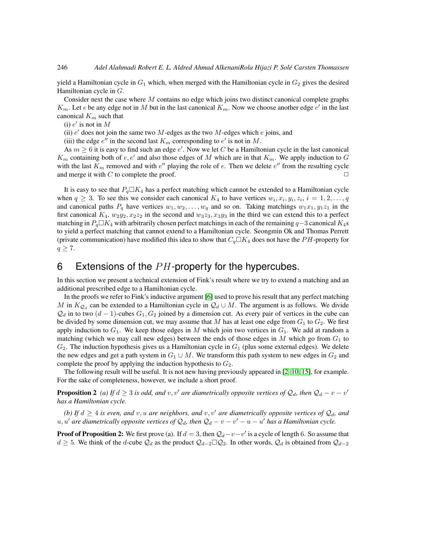yield a Hamiltonian cycle in  $G_1$  which, when merged with the Hamiltonian cycle in  $G_2$  gives the desired Hamiltonian cycle in G.

Consider next the case where  $M$  contains no edge which joins two distinct canonical complete graphs  $K_m$ . Let e be any edge not in M but in the last canonical  $K_m$ . Now we choose another edge  $e'$  in the last canonical  $K_m$  such that

(i)  $e'$  is not in  $M$ 

(ii)  $e'$  does not join the same two  $M$ -edges as the two  $M$ -edges which  $e$  joins, and

(iii) the edge  $e''$  in the second last  $K_m$  corresponding to  $e'$  is not in M.

As  $m \geq 6$  it is easy to find such an edge e'. Now we let C be a Hamiltonian cycle in the last canonical  $K_m$  containing both of  $e, e'$  and also those edges of M which are in that  $K_m$ . We apply induction to G with the last  $K_m$  removed and with  $e''$  playing the role of e. Then we delete  $e''$  from the resulting cycle and merge it with C to complete the proof.  $\Box$ 

It is easy to see that  $P_q \Box K_4$  has a perfect matching which cannot be extended to a Hamiltonian cycle when  $q \ge 3$ . To see this we consider each canonical  $K_4$  to have vertices  $w_i, x_i, y_i, z_i, i = 1, 2, \ldots, q$ and canonical paths  $P_q$  have vertices  $w_1, w_2, \ldots, w_q$  and so on. Taking matchings  $w_1x_1, y_1z_1$  in the first canonical  $K_4$ ,  $w_2y_2$ ,  $x_2z_2$  in the second and  $w_3z_3$ ,  $x_3y_3$  in the third we can extend this to a perfect matching in  $P_q\square K_4$  with arbitrarily chosen perfect matchings in each of the remaining  $q-3$  canonical  $K_4$ s to yield a perfect matching that cannot extend to a Hamiltonian cycle. Seongmin Ok and Thomas Perrett (private communication) have modified this idea to show that  $C_q \Box K_4$  does not have the PH-property for  $q \geq 7$ .

# 6 Extensions of the  $PH$ -property for the hypercubes.

In this section we present a technical extension of Fink's result where we try to extend a matching and an additional prescribed edge to a Hamiltonian cycle.

In the proofs we refer to Fink's inductive argument [\[6\]](#page-12-2) used to prove his result that any perfect matching M in  $K_{Q_d}$  can be extended to a Hamiltonian cycle in  $Q_d \cup M$ . The argument is as follows. We divide  $\mathcal{Q}_d$  in to two  $(d-1)$ -cubes  $G_1, G_2$  joined by a dimension cut. As every pair of vertices in the cube can be divided by some dimension cut, we may assume that  $M$  has at least one edge from  $G_1$  to  $G_2$ . We first apply induction to  $G_1$ . We keep those edges in M which join two vertices in  $G_1$ . We add at random a matching (which we may call new edges) between the ends of those edges in  $M$  which go from  $G_1$  to  $G_2$ . The induction hypothesis gives us a Hamiltonian cycle in  $G_1$  (plus some external edges). We delete the new edges and get a path system in  $G_1 \cup M$ . We transform this path system to new edges in  $G_2$  and complete the proof by applying the induction hypothesis to  $G_2$ .

The following result will be useful. It is not new having previously appeared in [\[2,](#page-12-6) [10,](#page-13-7) [15\]](#page-13-8), for example. For the sake of completeness, however, we include a short proof.

**Proposition 2** (a) If  $d \geq 3$  is odd, and v, v' are diametrically opposite vertices of  $\mathcal{Q}_d$ , then  $\mathcal{Q}_d - v - v'$ *has a Hamiltonian cycle.*

*(b)* If  $d \geq 4$  *is even, and* v, u are neighbors, and v, v' are diametrically opposite vertices of  $\mathcal{Q}_d$ , and  $u, u'$  are diametrically opposite vertices of  $\mathcal{Q}_d$ , then  $\mathcal{Q}_d - v - v' - u - u'$  has a Hamiltonian cycle.

**Proof of Proposition 2:** We first prove (a). If  $d = 3$ , then  $\mathcal{Q}_d - v - v'$  is a cycle of length 6. So assume that  $d \geq 5$ . We think of the d-cube  $\mathcal{Q}_d$  as the product  $\mathcal{Q}_{d-2}\square\mathcal{Q}_2$ . In other words,  $\mathcal{Q}_d$  is obtained from  $\mathcal{Q}_{d-2}$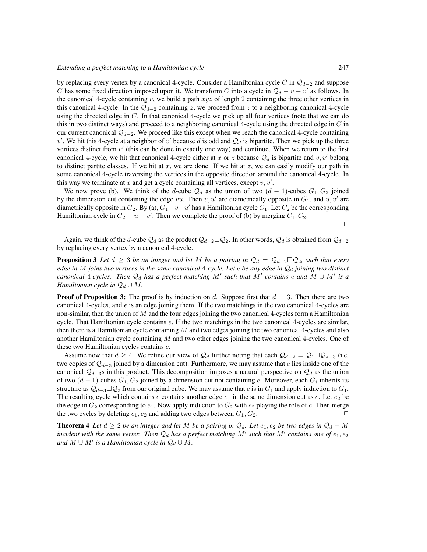by replacing every vertex by a canonical 4-cycle. Consider a Hamiltonian cycle C in  $\mathcal{Q}_{d-2}$  and suppose C has some fixed direction imposed upon it. We transform C into a cycle in  $\mathcal{Q}_d - v - v'$  as follows. In the canonical 4-cycle containing  $v$ , we build a path  $xyz$  of length 2 containing the three other vertices in this canonical 4-cycle. In the  $\mathcal{Q}_{d-2}$  containing z, we proceed from z to a neighboring canonical 4-cycle using the directed edge in  $C$ . In that canonical 4-cycle we pick up all four vertices (note that we can do this in two distinct ways) and proceed to a neighboring canonical 4-cycle using the directed edge in  $C$  in our current canonical  $\mathcal{Q}_{d-2}$ . We proceed like this except when we reach the canonical 4-cycle containing v'. We hit this 4-cycle at a neighbor of v' because d is odd and  $\mathcal{Q}_d$  is bipartite. Then we pick up the three vertices distinct from  $v'$  (this can be done in exactly one way) and continue. When we return to the first canonical 4-cycle, we hit that canonical 4-cycle either at x or z because  $\mathcal{Q}_d$  is bipartite and v, v' belong to distinct partite classes. If we hit at  $x$ , we are done. If we hit at  $z$ , we can easily modify our path in some canonical 4-cycle traversing the vertices in the opposite direction around the canonical 4-cycle. In this way we terminate at  $x$  and get a cycle containing all vertices, except  $v, v'$ .

We now prove (b). We think of the d-cube  $\mathcal{Q}_d$  as the union of two  $(d-1)$ -cubes  $G_1, G_2$  joined by the dimension cut containing the edge vu. Then v, u' are diametrically opposite in  $G_1$ , and u, v' are diametrically opposite in  $G_2$ . By (a),  $G_1-v-u'$  has a Hamiltonian cycle  $C_1$ . Let  $C_2$  be the corresponding Hamiltonian cycle in  $G_2 - u - v'$ . Then we complete the proof of (b) by merging  $C_1, C_2$ .

 $\Box$ 

Again, we think of the d-cube  $Q_d$  as the product  $Q_{d-2} \square Q_2$ . In other words,  $Q_d$  is obtained from  $Q_{d-2}$ by replacing every vertex by a canonical 4-cycle.

**Proposition 3** Let  $d \geq 3$  be an integer and let M be a pairing in  $\mathcal{Q}_d = \mathcal{Q}_{d-2} \square \mathcal{Q}_2$ , such that every *edge in* M *joins two vertices in the same canonical* 4*-cycle. Let*  $e$  *be any edge in*  $\mathcal{Q}_d$  *joining two distinct canonical* 4-cycles. Then  $\mathcal{Q}_d$  has a perfect matching M' such that M' contains e and M ∪ M' is a *Hamiltonian cycle in*  $\mathcal{Q}_d \cup M$ .

**Proof of Proposition 3:** The proof is by induction on d. Suppose first that  $d = 3$ . Then there are two canonical 4-cycles, and  $e$  is an edge joining them. If the two matchings in the two canonical 4-cycles are non-similar, then the union of  $M$  and the four edges joining the two canonical 4-cycles form a Hamiltonian cycle. That Hamiltonian cycle contains e. If the two matchings in the two canonical 4-cycles are similar, then there is a Hamiltonian cycle containing  $M$  and two edges joining the two canonical 4-cycles and also another Hamiltonian cycle containing  $M$  and two other edges joining the two canonical 4-cycles. One of these two Hamiltonian cycles contains e.

Assume now that  $d \geq 4$ . We refine our view of  $\mathcal{Q}_d$  further noting that each  $\mathcal{Q}_{d-2} = \mathcal{Q}_1 \square \mathcal{Q}_{d-3}$  (i.e. two copies of  $\mathcal{Q}_{d-3}$  joined by a dimension cut). Furthermore, we may assume that e lies inside one of the canonical  $Q_{d-3}$ s in this product. This decomposition imposes a natural perspective on  $Q_d$  as the union of two  $(d-1)$ -cubes  $G_1, G_2$  joined by a dimension cut not containing e. Moreover, each  $G_i$  inherits its structure as  $Q_{d-3}\Box Q_2$  from our original cube. We may assume that e is in  $G_1$  and apply induction to  $G_1$ . The resulting cycle which contains e contains another edge  $e_1$  in the same dimension cut as e. Let  $e_2$  be the edge in  $G_2$  corresponding to  $e_1$ . Now apply induction to  $G_2$  with  $e_2$  playing the role of e. Then merge the two cycles by deleting  $e_1, e_2$  and adding two edges between  $G_1, G_2$ .

**Theorem 4** *Let*  $d \geq 2$  *be an integer and let* M *be a pairing in*  $\mathcal{Q}_d$ *. Let*  $e_1, e_2$  *be two edges in*  $\mathcal{Q}_d - M$ incident with the same vertex. Then  $\mathcal{Q}_d$  has a perfect matching  $M'$  such that  $M'$  contains one of  $e_1, e_2$ *and*  $M \cup M'$  *is a Hamiltonian cycle in*  $\mathcal{Q}_d \cup M$ *.*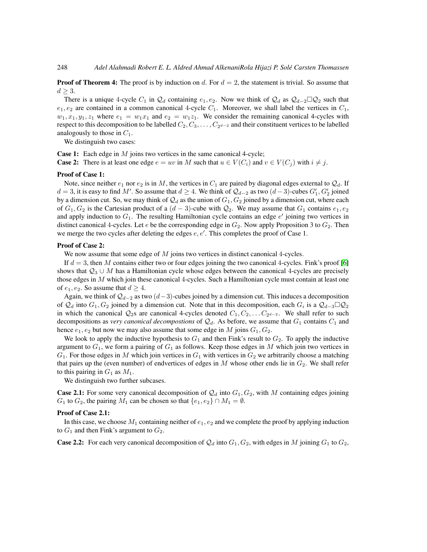**Proof of Theorem 4:** The proof is by induction on d. For  $d = 2$ , the statement is trivial. So assume that  $d \geq 3$ .

There is a unique 4-cycle  $C_1$  in  $\mathcal{Q}_d$  containing  $e_1, e_2$ . Now we think of  $\mathcal{Q}_d$  as  $\mathcal{Q}_{d-2}\square\mathcal{Q}_2$  such that  $e_1, e_2$  are contained in a common canonical 4-cycle  $C_1$ . Moreover, we shall label the vertices in  $C_1$ ,  $w_1, x_1, y_1, z_1$  where  $e_1 = w_1x_1$  and  $e_2 = w_1z_1$ . We consider the remaining canonical 4-cycles with respect to this decomposition to be labelled  $C_2, C_3, \ldots, C_{2^{d-2}}$  and their constituent vertices to be labelled analogously to those in  $C_1$ .

We distinguish two cases:

Case 1: Each edge in M joins two vertices in the same canonical 4-cycle;

**Case 2:** There is at least one edge  $e = uv$  in M such that  $u \in V(C_i)$  and  $v \in V(C_i)$  with  $i \neq j$ .

#### Proof of Case 1:

Note, since neither  $e_1$  nor  $e_2$  is in M, the vertices in  $C_1$  are paired by diagonal edges external to  $\mathcal{Q}_d$ . If  $d = 3$ , it is easy to find M'. So assume that  $d \geq 4$ . We think of  $\mathcal{Q}_{d-2}$  as two  $(d-3)$ -cubes  $G'_1, G'_2$  joined by a dimension cut. So, we may think of  $\mathcal{Q}_d$  as the union of  $G_1, G_2$  joined by a dimension cut, where each of  $G_1, G_2$  is the Cartesian product of a  $(d-3)$ -cube with  $\mathcal{Q}_2$ . We may assume that  $G_1$  contains  $e_1, e_2$ and apply induction to  $G_1$ . The resulting Hamiltonian cycle contains an edge  $e'$  joining two vertices in distinct canonical 4-cycles. Let e be the corresponding edge in  $G_2$ . Now apply Proposition 3 to  $G_2$ . Then we merge the two cycles after deleting the edges  $e, e'$ . This completes the proof of Case 1.

### Proof of Case 2:

We now assume that some edge of M joins two vertices in distinct canonical 4-cycles.

If  $d = 3$ , then M contains either two or four edges joining the two canonical 4-cycles. Fink's proof [\[6\]](#page-12-2) shows that  $Q_3 \cup M$  has a Hamiltonian cycle whose edges between the canonical 4-cycles are precisely those edges in  $M$  which join these canonical 4-cycles. Such a Hamiltonian cycle must contain at least one of  $e_1, e_2$ . So assume that  $d \geq 4$ .

Again, we think of  $\mathcal{Q}_{d-2}$  as two  $(d-3)$ -cubes joined by a dimension cut. This induces a decomposition of  $\mathcal{Q}_d$  into  $G_1, G_2$  joined by a dimension cut. Note that in this decomposition, each  $G_i$  is a  $\mathcal{Q}_{d-3} \Box \mathcal{Q}_2$ in which the canonical  $Q_2$ s are canonical 4-cycles denoted  $C_1, C_2, \ldots C_{2^{d-2}}$ . We shall refer to such decompositions as *very canonical decompostions* of  $\mathcal{Q}_d$ . As before, we assume that  $G_1$  contains  $C_1$  and hence  $e_1, e_2$  but now we may also assume that some edge in M joins  $G_1, G_2$ .

We look to apply the inductive hypothesis to  $G_1$  and then Fink's result to  $G_2$ . To apply the inductive argument to  $G_1$ , we form a pairing of  $G_1$  as follows. Keep those edges in M which join two vertices in  $G_1$ . For those edges in M which join vertices in  $G_1$  with vertices in  $G_2$  we arbitrarily choose a matching that pairs up the (even number) of endvertices of edges in  $M$  whose other ends lie in  $G_2$ . We shall refer to this pairing in  $G_1$  as  $M_1$ .

We distinguish two further subcases.

**Case 2.1:** For some very canonical decomposition of  $\mathcal{Q}_d$  into  $G_1, G_2$ , with M containing edges joining  $G_1$  to  $G_2$ , the pairing  $M_1$  can be chosen so that  $\{e_1, e_2\} \cap M_1 = \emptyset$ .

### Proof of Case 2.1:

In this case, we choose  $M_1$  containing neither of  $e_1, e_2$  and we complete the proof by applying induction to  $G_1$  and then Fink's argument to  $G_2$ .

**Case 2.2:** For each very canonical decomposition of  $\mathcal{Q}_d$  into  $G_1, G_2$ , with edges in M joining  $G_1$  to  $G_2$ ,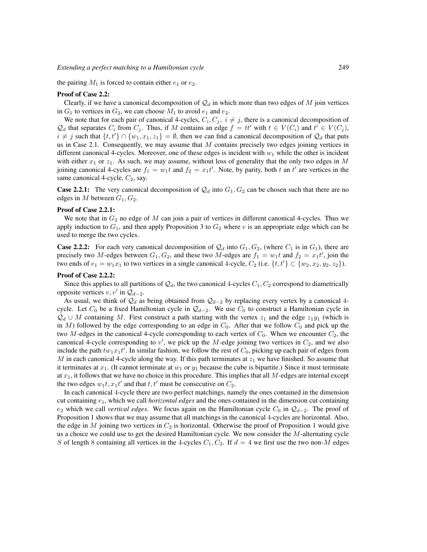the pairing  $M_1$  is forced to contain either  $e_1$  or  $e_2$ .

### Proof of Case 2.2:

Clearly, if we have a canonical decomposition of  $\mathcal{Q}_d$  in which more than two edges of M join vertices in  $G_1$  to vertices in  $G_2$ , we can choose  $M_1$  to avoid  $e_1$  and  $e_2$ .

We note that for each pair of canonical 4-cycles,  $C_i, C_j, i \neq j$ , there is a canonical decomposition of  $\mathcal{Q}_d$  that separates  $C_i$  from  $C_j$ . Thus, if M contains an edge  $f = tt'$  with  $t \in V(C_i)$  and  $t' \in V(C_j)$ ,  $i \neq j$  such that  $\{t, t'\} \cap \{w_1, x_1, z_1\} = \emptyset$ , then we can find a canonical decomposition of  $\mathcal{Q}_d$  that puts us in Case 2.1. Consequently, we may assume that  $M$  contains precisely two edges joining vertices in different canonical 4-cycles. Moreover, one of these edges is incident with  $w_1$  while the other is incident with either  $x_1$  or  $z_1$ . As such, we may assume, without loss of generality that the only two edges in M joining canonical 4-cycles are  $f_1 = w_1 t$  and  $f_2 = x_1 t'$ . Note, by parity, both t an t' are vertices in the same canonical 4-cycle,  $C_2$ , say.

**Case 2.2.1:** The very canonical decomposition of  $\mathcal{Q}_d$  into  $G_1, G_2$  can be chosen such that there are no edges in M between  $G_1, G_2$ .

### Proof of Case 2.2.1:

We note that in  $G_2$  no edge of M can join a pair of vertices in different canonical 4-cycles. Thus we apply induction to  $G_1$ , and then apply Proposition 3 to  $G_2$  where e is an appropriate edge which can be used to merge the two cycles.

**Case 2.2.2:** For each very canonical decomposition of  $\mathcal{Q}_d$  into  $G_1, G_2$ , (where  $C_1$  is in  $G_1$ ), there are precisely two M-edges between  $G_1, G_2$ , and these two M-edges are  $f_1 = w_1 t$  and  $f_2 = x_1 t'$ , join the two ends of  $e_1 = w_1x_1$  to two vertices in a single canonical 4-cycle,  $C_2$  (i.e.  $\{t, t'\} \subset \{w_2, x_2, y_2, z_2\}$ ).

### Proof of Case 2.2.2:

Since this applies to all partitions of  $\mathcal{Q}_d$ , the two canonical 4-cycles  $C_1, C_2$  correspond to diametrically opposite vertices  $v, v'$  in  $\mathcal{Q}_{d-2}$ .

As usual, we think of  $\mathcal{Q}_d$  as being obtained from  $\mathcal{Q}_{d-2}$  by replacing every vertex by a canonical 4cycle. Let  $C_0$  be a fixed Hamiltonian cycle in  $\mathcal{Q}_{d-2}$ . We use  $C_0$  to construct a Hamiltonian cycle in  $\mathcal{Q}_d \cup M$  containing M. First construct a path starting with the vertex  $z_1$  and the edge  $z_1y_1$  (which is in M) followed by the edge corresponding to an edge in  $C_0$ . After that we follow  $C_0$  and pick up the two M-edges in the canonical 4-cycle corresponding to each vertex of  $C_0$ . When we encounter  $C_2$ , the canonical 4-cycle corresponding to  $v'$ , we pick up the M-edge joining two vertices in  $C_2$ , and we also include the path  $tw_1x_1t'$ . In similar fashion, we follow the rest of  $C_0$ , picking up each pair of edges from M in each canonical 4-cycle along the way. If this path terminates at  $z_1$  we have finished. So assume that it terminates at  $x_1$ . (It cannot terminate at  $w_1$  or  $y_1$  because the cube is bipartite.) Since it must terminate at  $x_1$ , it follows that we have no choice in this procedure. This implies that all  $M$ -edges are internal except the two edges  $w_1t, x_1t'$  and that  $t, t'$  must be consecutive on  $C_2$ .

In each canonical 4-cycle there are two perfect matchings, namely the ones contained in the dimension cut containing e1, which we call *horizontal edges* and the ones contained in the dimension cut containing  $e_2$  which we call *vertical edges*. We focus again on the Hamiltonian cycle  $C_0$  in  $\mathcal{Q}_{d-2}$ . The proof of Proposition 1 shows that we may assume that all matchings in the canonical 4-cycles are horizontal. Also, the edge in M joining two vertices in  $C_2$  is horizontal. Otherwise the proof of Proposition 1 would give us a choice we could use to get the desired Hamiltonian cycle. We now consider the  $M$ -alternating cycle S of length 8 containing all vertices in the 4-cycles  $C_1, C_2$ . If  $d = 4$  we first use the two non-M edges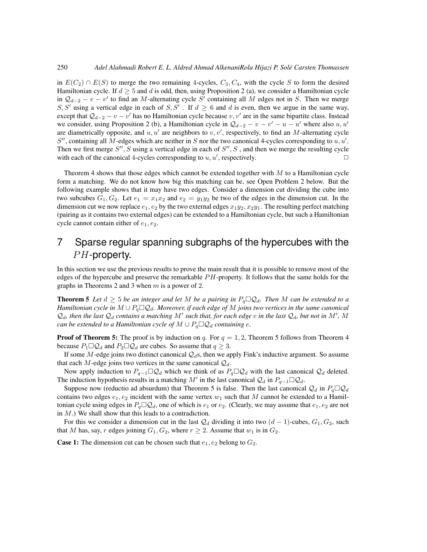in  $E(C_2) \cap E(S)$  to merge the two remaining 4-cycles,  $C_3, C_4$ , with the cycle S to form the desired Hamiltonian cycle. If  $d \geq 5$  and d is odd, then, using Proposition 2 (a), we consider a Hamiltonian cycle in  $\mathcal{Q}_{d-2} - v - v'$  to find an M-alternating cycle S' containing all M edges not in S. Then we merge S, S' using a vertical edge in each of S, S'. If  $d \geq 6$  and d is even, then we argue in the same way, except that  $Q_{d-2} - v - v'$  has no Hamiltonian cycle because  $v, v'$  are in the same bipartite class. Instead we consider, using Proposition 2 (b), a Hamiltonian cycle in  $\mathcal{Q}_{d-2} - v - v' - u - u'$  where also  $u, u'$ are diametrically opposite, and  $u, u'$  are neighbors to  $v, v'$ , respectively, to find an M-alternating cycle  $S''$ , containing all M-edges which are neither in S nor the two canonical 4-cycles corresponding to  $u, u'$ . Then we first merge  $S''$ , S using a vertical edge in each of  $S''$ , S, and then we merge the resulting cycle with each of the canonical 4-cycles corresponding to  $u, u'$ , respectively.

Theorem 4 shows that those edges which cannot be extended together with  $M$  to a Hamiltonian cycle form a matching. We do not know how big this matching can be, see Open Problem 2 below. But the following example shows that it may have two edges. Consider a dimension cut dividing the cube into two subcubes  $G_1, G_2$ . Let  $e_1 = x_1x_2$  and  $e_2 = y_1y_2$  be two of the edges in the dimension cut. In the dimension cut we now replace  $e_1, e_2$  by the two external edges  $x_1y_2, x_2y_1$ . The resulting perfect matching (pairing as it contains two external edges) can be extended to a Hamiltonian cycle, but such a Hamiltonian cycle cannot contain either of  $e_1, e_2$ .

# 7 Sparse regular spanning subgraphs of the hypercubes with the  $PH$ -property.

In this section we use the previous results to prove the main result that it is possible to remove most of the edges of the hypercube and preserve the remarkable  $PH$ -property. It follows that the same holds for the graphs in Theorems 2 and 3 when  $m$  is a power of 2.

**Theorem 5** Let  $d \geq 5$  be an integer and let M be a pairing in  $P_q \square Q_d$ . Then M can be extended to a *Hamiltonian cycle in*  $M \cup P_q \square Q_d$ . Moreover, if each edge of M joins two vertices in the same canonical  $Q_d$ , then the last  $Q_d$  contains a matching M' such that, for each edge  $e$  in the last  $Q_d$ , but not in M', M *can be extended to a Hamiltonian cycle of*  $M \cup P_q \square Q_d$  *containing e.* 

**Proof of Theorem 5:** The proof is by induction on q. For  $q = 1, 2$ , Theorem 5 follows from Theorem 4 because  $P_1 \square Q_d$  and  $P_2 \square Q_d$  are cubes. So assume that  $q \geq 3$ .

If some M-edge joins two distinct canonical  $\mathcal{Q}_d$ s, then we apply Fink's inductive argument. So assume that each M-edge joins two vertices in the same canonical  $\mathcal{Q}_d$ .

Now apply induction to  $P_{q-1} \square Q_d$  which we think of as  $P_q \square Q_d$  with the last canonical  $Q_d$  deleted. The induction hypothesis results in a matching M' in the last canonical  $\mathcal{Q}_d$  in  $P_{q-1} \Box \mathcal{Q}_d$ .

Suppose now (reductio ad absurdum) that Theorem 5 is false. Then the last canonical  $\mathcal{Q}_d$  in  $P_q \square \mathcal{Q}_d$ contains two edges  $e_1, e_2$  incident with the same vertex  $w_1$  such that M cannot be extended to a Hamiltonian cycle using edges in  $P_q \square Q_d$ , one of which is  $e_1$  or  $e_2$ . (Clearly, we may assume that  $e_1, e_2$  are not in  $M$ .) We shall show that this leads to a contradiction.

For this we consider a dimension cut in the last  $\mathcal{Q}_d$  dividing it into two  $(d-1)$ -cubes,  $G_1, G_2$ , such that M has, say, r edges joining  $G_1, G_2$ , where  $r \geq 2$ . Assume that  $w_1$  is in  $G_2$ .

**Case 1:** The dimension cut can be chosen such that  $e_1, e_2$  belong to  $G_2$ .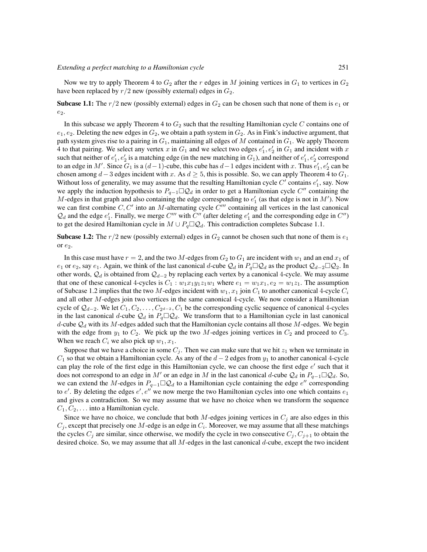Now we try to apply Theorem 4 to  $G_2$  after the r edges in M joining vertices in  $G_1$  to vertices in  $G_2$ have been replaced by  $r/2$  new (possibly external) edges in  $G_2$ .

**Subcase 1.1:** The  $r/2$  new (possibly external) edges in  $G_2$  can be chosen such that none of them is  $e_1$  or  $e_2$ .

In this subcase we apply Theorem 4 to  $G_2$  such that the resulting Hamiltonian cycle C contains one of  $e_1, e_2$ . Deleting the new edges in  $G_2$ , we obtain a path system in  $G_2$ . As in Fink's inductive argument, that path system gives rise to a pairing in  $G_1$ , maintaining all edges of M contained in  $G_1$ . We apply Theorem 4 to that pairing. We select any vertex x in  $G_1$  and we select two edges  $e'_1, e'_2$  in  $G_1$  and incident with x such that neither of  $e'_1, e'_2$  is a matching edge (in the new matching in  $G_1$ ), and neither of  $e'_1, e'_2$  correspond to an edge in M'. Since  $G_1$  is a  $(d-1)$ -cube, this cube has  $d-1$  edges incident with x. Thus  $e'_1, e'_2$  can be chosen among  $d-3$  edges incident with x. As  $d \geq 5$ , this is possible. So, we can apply Theorem 4 to  $G_1$ . Without loss of generality, we may assume that the resulting Hamiltonian cycle  $C'$  contains  $e'_1$ , say. Now we apply the induction hypothesis to  $P_{q-1} \square \mathcal{Q}_d$  in order to get a Hamiltonian cycle C'' containing the M-edges in that graph and also containing the edge corresponding to  $e'_{1}$  (as that edge is not in M'). Now we can first combine  $C, C'$  into an M-alternating cycle  $C'''$  containing all vertices in the last canonical  $Q_d$  and the edge  $e'_1$ . Finally, we merge C''' with C'' (after deleting  $e'_1$  and the corresponding edge in C'') to get the desired Hamiltonian cycle in  $M \cup P_q \square Q_d$ . This contradiction completes Subcase 1.1.

**Subcase 1.2:** The  $r/2$  new (possibly external) edges in  $G_2$  cannot be chosen such that none of them is  $e_1$ or  $e_2$ .

In this case must have  $r = 2$ , and the two M-edges from  $G_2$  to  $G_1$  are incident with  $w_1$  and an end  $x_1$  of e<sub>1</sub> or e<sub>2</sub>, say e<sub>1</sub>. Again, we think of the last canonical d-cube  $\mathcal{Q}_d$  in  $P_q\Box\mathcal{Q}_d$  as the product  $\mathcal{Q}_{d-2}\Box\mathcal{Q}_2$ . In other words,  $\mathcal{Q}_d$  is obtained from  $\mathcal{Q}_{d-2}$  by replacing each vertex by a canonical 4-cycle. We may assume that one of these canonical 4-cycles is  $C_1 : w_1x_1y_1z_1w_1$  where  $e_1 = w_1x_1, e_2 = w_1z_1$ . The assumption of Subcase 1.2 implies that the two M-edges incident with  $w_1, x_1$  join  $C_1$  to another canonical 4-cycle  $C_i$ and all other M-edges join two vertices in the same canonical 4-cycle. We now consider a Hamiltonian cycle of  $\mathcal{Q}_{d-2}$ . We let  $C_1, C_2, \ldots, C_{2^{d-2}}, C_1$  be the corresponding cyclic sequence of canonical 4-cycles in the last canonical d-cube  $Q_d$  in  $P_q \square Q_d$ . We transform that to a Hamiltonian cycle in last canonical d-cube  $\mathcal{Q}_d$  with its M-edges added such that the Hamiltonian cycle contains all those M-edges. We begin with the edge from  $y_1$  to  $C_2$ . We pick up the two M-edges joining vertices in  $C_2$  and proceed to  $C_3$ . When we reach  $C_i$  we also pick up  $w_1, x_1$ .

Suppose that we have a choice in some  $C_j$ . Then we can make sure that we hit  $z_1$  when we terminate in  $C_1$  so that we obtain a Hamiltonian cycle. As any of the  $d-2$  edges from  $y_1$  to another canonical 4-cycle can play the role of the first edge in this Hamiltonian cycle, we can choose the first edge  $e'$  such that it does not correspond to an edge in M' or an edge in M in the last canonical d-cube  $Q_d$  in  $P_{q-1}\Box Q_d$ . So, we can extend the M-edges in  $P_{q-1} \square Q_d$  to a Hamiltonian cycle containing the edge  $e''$  corresponding to  $e'$ . By deleting the edges  $e', e''$  we now merge the two Hamiltonian cycles into one which contains  $e_1$ and gives a contradiction. So we may assume that we have no choice when we transform the sequence  $C_1, C_2, \ldots$  into a Hamiltonian cycle.

Since we have no choice, we conclude that both  $M$ -edges joining vertices in  $C_j$  are also edges in this  $C_j$ , except that precisely one M-edge is an edge in  $C_i$ . Moreover, we may assume that all these matchings the cycles  $C_j$  are similar, since otherwise, we modify the cycle in two consecutive  $C_j, C_{j+1}$  to obtain the desired choice. So, we may assume that all  $M$ -edges in the last canonical  $d$ -cube, except the two incident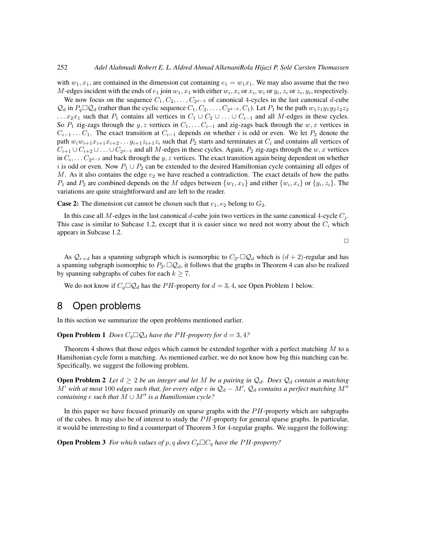with  $w_1, x_1$ , are contained in the dimension cut containing  $e_1 = w_1 x_1$ . We may also assume that the two M-edges incident with the ends of  $e_1$  join  $w_1, x_1$  with either  $w_i, x_i$  or  $x_i, w_i$  or  $y_i, z_i$  or  $z_i, y_i$ , respectively.

We now focus on the sequence  $C_1, C_2, \ldots, C_{2^{d-2}}$  of canonical 4-cycles in the last canonical d-cube  $\mathcal{Q}_d$  in  $P_q \Box Q_d$  (rather than the cyclic sequence  $C_1, C_2, \ldots, C_{2^{d-2}}, C_1$ ). Let  $P_1$  be the path  $w_1 z_1 y_1 y_2 z_2 z_3$ ...  $x_2x_1$  such that  $P_1$  contains all vertices in  $C_1 \cup C_2 \cup \ldots \cup C_{i-1}$  and all M-edges in these cycles. So  $P_1$  zig-zags through the y, z vertices in  $C_1, \ldots, C_{i-1}$  and zig-zags back through the w, x vertices in  $C_{i-1} \ldots C_1$ . The exact transition at  $C_{i-1}$  depends on whether i is odd or even. We let  $P_2$  denote the path  $w_iw_{i+1}x_{i+1}x_{i+2} \ldots y_{i+1}z_{i+1}z_i$  such that  $P_2$  starts and terminates at  $C_i$  and contains all vertices of  $C_{i+1} \cup C_{i+2} \cup \ldots \cup C_{2^{d-2}}$  and all M-edges in these cycles. Again,  $P_2$  zig-zags through the  $w, x$  vertices in  $C_i, \ldots C_{2^{d-2}}$  and back through the y, z vertices. The exact transition again being dependent on whether i is odd or even. Now  $P_1 \cup P_2$  can be extended to the desired Hamiltonian cycle containing all edges of M. As it also contains the edge  $e_2$  we have reached a contradiction. The exact details of how the paths  $P_1$  and  $P_2$  are combined depends on the M edges between  $\{w_1, x_1\}$  and either  $\{w_i, x_i\}$  or  $\{y_i, z_i\}$ . The variations are quite straightforward and are left to the reader.

**Case 2:** The dimension cut cannot be chosen such that  $e_1, e_2$  belong to  $G_2$ .

In this case all M-edges in the last canonical d-cube join two vertices in the same canonical 4-cycle  $C_i$ . This case is similar to Subcase 1.2, except that it is easier since we need not worry about the  $C_i$  which appears in Subcase 1.2.

 $\Box$ 

As  $Q_{r+d}$  has a spanning subgraph which is isomorphic to  $C_{2r} \Box Q_d$  which is  $(d+2)$ -regular and has a spanning subgraph isomorphic to  $P_{2r} \Box Q_d$ , it follows that the graphs in Theorem 4 can also be realized by spanning subgraphs of cubes for each  $k \geq 7$ .

We do not know if  $C_q \square Q_d$  has the PH-property for  $d = 3, 4$ , see Open Problem 1 below.

### 8 Open problems

In this section we summarize the open problems mentioned earlier.

**Open Problem 1** *Does*  $C_q \square Q_d$  *have the PH-property for*  $d = 3, 4$ *?* 

Theorem 4 shows that those edges which cannot be extended together with a perfect matching  $M$  to a Hamiltonian cycle form a matching. As mentioned earlier, we do not know how big this matching can be. Specifically, we suggest the following problem.

**Open Problem 2** Let  $d \geq 2$  be an integer and let M be a pairing in  $\mathcal{Q}_d$ . Does  $\mathcal{Q}_d$  contain a matching  $M'$  with at most 100 edges such that, for every edge  $e$  in  $\mathcal{Q}_d - M'$ ,  $\mathcal{Q}_d$  contains a perfect matching  $M''$ *containing*  $e$  *such that*  $M \cup M''$  *is a Hamiltonian cycle?* 

In this paper we have focused primarily on sparse graphs with the  $PH$ -property which are subgraphs of the cubes. It may also be of interest to study the  $PH$ -property for general sparse graphs. In particular, it would be interesting to find a counterpart of Theorem 3 for 4-regular graphs. We suggest the following:

**Open Problem 3** *For which values of* p, q *does*  $C_p \Box C_q$  *have the PH-property?*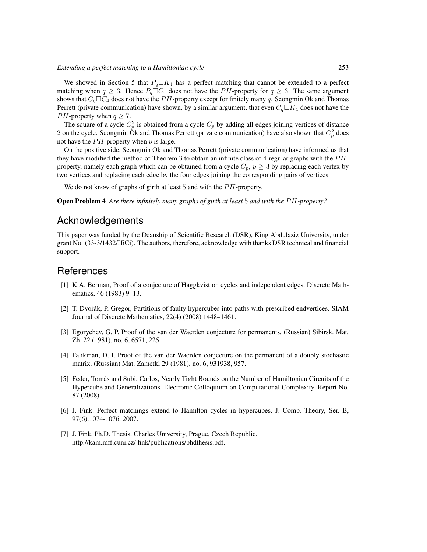We showed in Section 5 that  $P_q\square K_4$  has a perfect matching that cannot be extended to a perfect matching when  $q \geq 3$ . Hence  $P_q \square C_4$  does not have the PH-property for  $q \geq 3$ . The same argument shows that  $C_q \Box C_4$  does not have the PH-property except for finitely many q. Seongmin Ok and Thomas Perrett (private communication) have shown, by a similar argument, that even  $C_q \Box K_4$  does not have the *PH*-property when  $q \ge 7$ .

The square of a cycle  $C_p^2$  is obtained from a cycle  $C_p$  by adding all edges joining vertices of distance 2 on the cycle. Seongmin  $\hat{O}$ k and Thomas Perrett (private communication) have also shown that  $C_p^2$  does not have the  $PH$ -property when  $p$  is large.

On the positive side, Seongmin Ok and Thomas Perrett (private communication) have informed us that they have modified the method of Theorem 3 to obtain an infinite class of 4-regular graphs with the  $PH$ property, namely each graph which can be obtained from a cycle  $C_p$ ,  $p \geq 3$  by replacing each vertex by two vertices and replacing each edge by the four edges joining the corresponding pairs of vertices.

We do not know of graphs of girth at least  $5$  and with the  $PH$ -property.

**Open Problem 4** Are there infinitely many graphs of girth at least 5 and with the PH-property?

### Acknowledgements

This paper was funded by the Deanship of Scientific Research (DSR), King Abdulaziz University, under grant No. (33-3/1432/HiCi). The authors, therefore, acknowledge with thanks DSR technical and financial support.

## **References**

- <span id="page-12-5"></span>[1] K.A. Berman, Proof of a conjecture of Häggkvist on cycles and independent edges, Discrete Mathematics, 46 (1983) 9–13.
- <span id="page-12-6"></span>[2] T. Dvořák, P. Gregor, Partitions of faulty hypercubes into paths with prescribed endvertices. SIAM Journal of Discrete Mathematics, 22(4) (2008) 1448–1461.
- <span id="page-12-0"></span>[3] Egorychev, G. P. Proof of the van der Waerden conjecture for permanents. (Russian) Sibirsk. Mat. Zh. 22 (1981), no. 6, 6571, 225.
- <span id="page-12-1"></span>[4] Falikman, D. I. Proof of the van der Waerden conjecture on the permanent of a doubly stochastic matrix. (Russian) Mat. Zametki 29 (1981), no. 6, 931938, 957.
- <span id="page-12-3"></span>[5] Feder, Tomás and Subi, Carlos, Nearly Tight Bounds on the Number of Hamiltonian Circuits of the Hypercube and Generalizations. Electronic Colloquium on Computational Complexity, Report No. 87 (2008).
- <span id="page-12-2"></span>[6] J. Fink. Perfect matchings extend to Hamilton cycles in hypercubes. J. Comb. Theory, Ser. B, 97(6):1074-1076, 2007.
- <span id="page-12-4"></span>[7] J. Fink. Ph.D. Thesis, Charles University, Prague, Czech Republic. http://kam.mff.cuni.cz/ fink/publications/phdthesis.pdf.